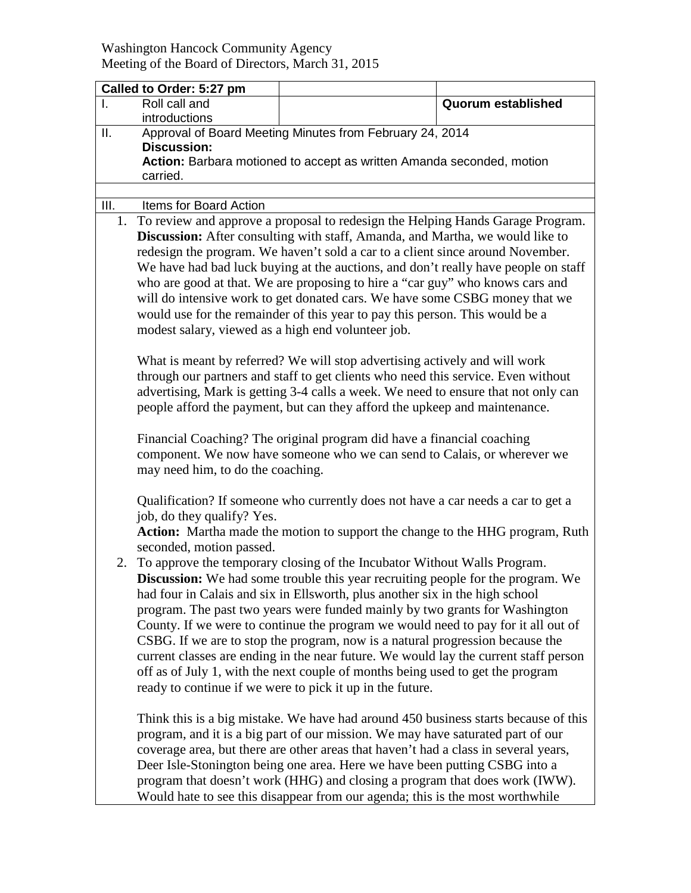## Washington Hancock Community Agency Meeting of the Board of Directors, March 31, 2015

|      | Called to Order: 5:27 pm                                                                                                                                                                                                                                                                                                                                                                                                                                                                                                                                                                                                                         |                                                                                                                                                                                                                                                                                                                                                                                                                                                                                                             |                           |  |  |  |
|------|--------------------------------------------------------------------------------------------------------------------------------------------------------------------------------------------------------------------------------------------------------------------------------------------------------------------------------------------------------------------------------------------------------------------------------------------------------------------------------------------------------------------------------------------------------------------------------------------------------------------------------------------------|-------------------------------------------------------------------------------------------------------------------------------------------------------------------------------------------------------------------------------------------------------------------------------------------------------------------------------------------------------------------------------------------------------------------------------------------------------------------------------------------------------------|---------------------------|--|--|--|
| Ι.   | Roll call and<br>introductions                                                                                                                                                                                                                                                                                                                                                                                                                                                                                                                                                                                                                   |                                                                                                                                                                                                                                                                                                                                                                                                                                                                                                             | <b>Quorum established</b> |  |  |  |
| ΙΙ.  | Approval of Board Meeting Minutes from February 24, 2014<br><b>Discussion:</b><br>Action: Barbara motioned to accept as written Amanda seconded, motion                                                                                                                                                                                                                                                                                                                                                                                                                                                                                          |                                                                                                                                                                                                                                                                                                                                                                                                                                                                                                             |                           |  |  |  |
|      | carried.                                                                                                                                                                                                                                                                                                                                                                                                                                                                                                                                                                                                                                         |                                                                                                                                                                                                                                                                                                                                                                                                                                                                                                             |                           |  |  |  |
|      |                                                                                                                                                                                                                                                                                                                                                                                                                                                                                                                                                                                                                                                  |                                                                                                                                                                                                                                                                                                                                                                                                                                                                                                             |                           |  |  |  |
| III. | Items for Board Action                                                                                                                                                                                                                                                                                                                                                                                                                                                                                                                                                                                                                           |                                                                                                                                                                                                                                                                                                                                                                                                                                                                                                             |                           |  |  |  |
|      | 1. To review and approve a proposal to redesign the Helping Hands Garage Program.<br>Discussion: After consulting with staff, Amanda, and Martha, we would like to<br>redesign the program. We haven't sold a car to a client since around November.<br>We have had bad luck buying at the auctions, and don't really have people on staff<br>who are good at that. We are proposing to hire a "car guy" who knows cars and<br>will do intensive work to get donated cars. We have some CSBG money that we<br>would use for the remainder of this year to pay this person. This would be a<br>modest salary, viewed as a high end volunteer job. |                                                                                                                                                                                                                                                                                                                                                                                                                                                                                                             |                           |  |  |  |
|      | What is meant by referred? We will stop advertising actively and will work<br>through our partners and staff to get clients who need this service. Even without<br>advertising, Mark is getting 3-4 calls a week. We need to ensure that not only can<br>people afford the payment, but can they afford the upkeep and maintenance.                                                                                                                                                                                                                                                                                                              |                                                                                                                                                                                                                                                                                                                                                                                                                                                                                                             |                           |  |  |  |
|      | Financial Coaching? The original program did have a financial coaching<br>component. We now have someone who we can send to Calais, or wherever we<br>may need him, to do the coaching.                                                                                                                                                                                                                                                                                                                                                                                                                                                          |                                                                                                                                                                                                                                                                                                                                                                                                                                                                                                             |                           |  |  |  |
|      | Qualification? If someone who currently does not have a car needs a car to get a<br>job, do they qualify? Yes.<br>Action: Martha made the motion to support the change to the HHG program, Ruth<br>seconded, motion passed.                                                                                                                                                                                                                                                                                                                                                                                                                      |                                                                                                                                                                                                                                                                                                                                                                                                                                                                                                             |                           |  |  |  |
|      | 2. To approve the temporary closing of the Incubator Without Walls Program.<br>had four in Calais and six in Ellsworth, plus another six in the high school<br>program. The past two years were funded mainly by two grants for Washington<br>CSBG. If we are to stop the program, now is a natural progression because the<br>off as of July 1, with the next couple of months being used to get the program<br>ready to continue if we were to pick it up in the future.                                                                                                                                                                       | Discussion: We had some trouble this year recruiting people for the program. We<br>County. If we were to continue the program we would need to pay for it all out of<br>current classes are ending in the near future. We would lay the current staff person                                                                                                                                                                                                                                                |                           |  |  |  |
|      |                                                                                                                                                                                                                                                                                                                                                                                                                                                                                                                                                                                                                                                  | Think this is a big mistake. We have had around 450 business starts because of this<br>program, and it is a big part of our mission. We may have saturated part of our<br>coverage area, but there are other areas that haven't had a class in several years,<br>Deer Isle-Stonington being one area. Here we have been putting CSBG into a<br>program that doesn't work (HHG) and closing a program that does work (IWW).<br>Would hate to see this disappear from our agenda; this is the most worthwhile |                           |  |  |  |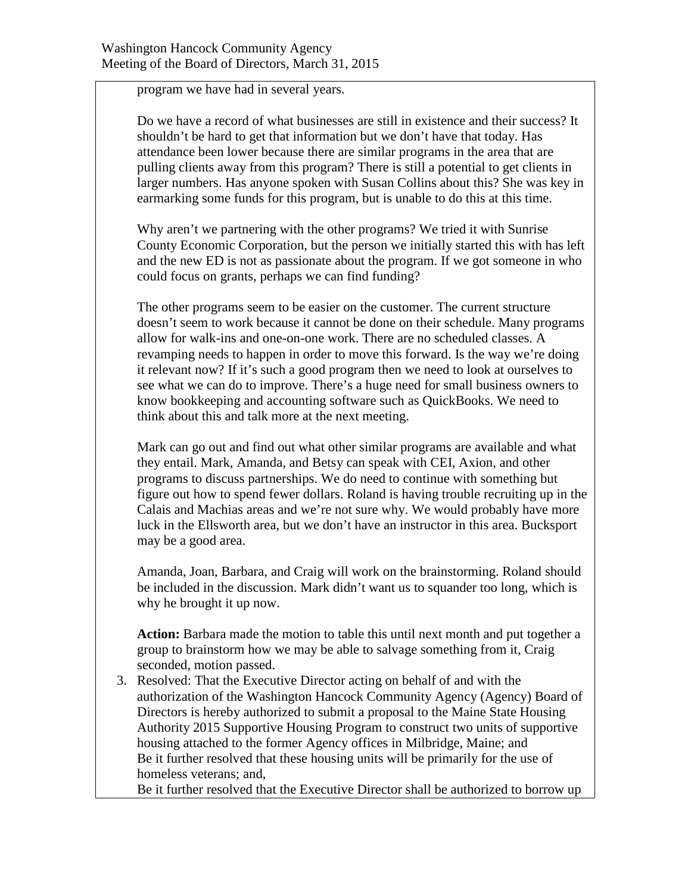program we have had in several years.

Do we have a record of what businesses are still in existence and their success? It shouldn't be hard to get that information but we don't have that today. Has attendance been lower because there are similar programs in the area that are pulling clients away from this program? There is still a potential to get clients in larger numbers. Has anyone spoken with Susan Collins about this? She was key in earmarking some funds for this program, but is unable to do this at this time.

Why aren't we partnering with the other programs? We tried it with Sunrise County Economic Corporation, but the person we initially started this with has left and the new ED is not as passionate about the program. If we got someone in who could focus on grants, perhaps we can find funding?

The other programs seem to be easier on the customer. The current structure doesn't seem to work because it cannot be done on their schedule. Many programs allow for walk-ins and one-on-one work. There are no scheduled classes. A revamping needs to happen in order to move this forward. Is the way we're doing it relevant now? If it's such a good program then we need to look at ourselves to see what we can do to improve. There's a huge need for small business owners to know bookkeeping and accounting software such as QuickBooks. We need to think about this and talk more at the next meeting.

Mark can go out and find out what other similar programs are available and what they entail. Mark, Amanda, and Betsy can speak with CEI, Axion, and other programs to discuss partnerships. We do need to continue with something but figure out how to spend fewer dollars. Roland is having trouble recruiting up in the Calais and Machias areas and we're not sure why. We would probably have more luck in the Ellsworth area, but we don't have an instructor in this area. Bucksport may be a good area.

Amanda, Joan, Barbara, and Craig will work on the brainstorming. Roland should be included in the discussion. Mark didn't want us to squander too long, which is why he brought it up now.

**Action:** Barbara made the motion to table this until next month and put together a group to brainstorm how we may be able to salvage something from it, Craig seconded, motion passed.

3. Resolved: That the Executive Director acting on behalf of and with the authorization of the Washington Hancock Community Agency (Agency) Board of Directors is hereby authorized to submit a proposal to the Maine State Housing Authority 2015 Supportive Housing Program to construct two units of supportive housing attached to the former Agency offices in Milbridge, Maine; and Be it further resolved that these housing units will be primarily for the use of homeless veterans; and,

Be it further resolved that the Executive Director shall be authorized to borrow up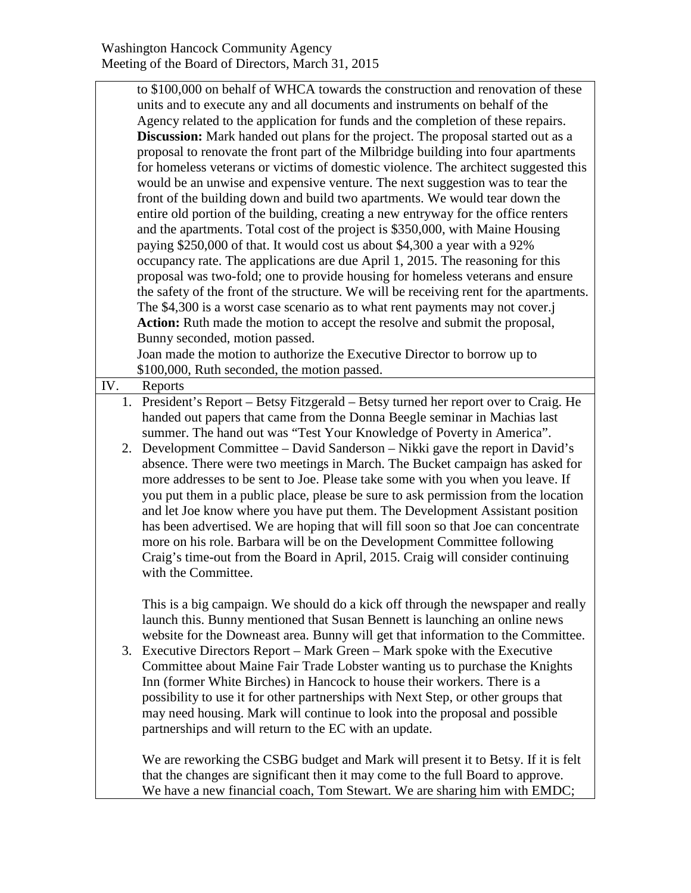to \$100,000 on behalf of WHCA towards the construction and renovation of these units and to execute any and all documents and instruments on behalf of the Agency related to the application for funds and the completion of these repairs. **Discussion:** Mark handed out plans for the project. The proposal started out as a proposal to renovate the front part of the Milbridge building into four apartments for homeless veterans or victims of domestic violence. The architect suggested this would be an unwise and expensive venture. The next suggestion was to tear the front of the building down and build two apartments. We would tear down the entire old portion of the building, creating a new entryway for the office renters and the apartments. Total cost of the project is \$350,000, with Maine Housing paying \$250,000 of that. It would cost us about \$4,300 a year with a 92% occupancy rate. The applications are due April 1, 2015. The reasoning for this proposal was two-fold; one to provide housing for homeless veterans and ensure the safety of the front of the structure. We will be receiving rent for the apartments. The \$4,300 is a worst case scenario as to what rent payments may not cover.j **Action:** Ruth made the motion to accept the resolve and submit the proposal, Bunny seconded, motion passed. Joan made the motion to authorize the Executive Director to borrow up to

\$100,000, Ruth seconded, the motion passed.

IV. Reports 1. President's Report – Betsy Fitzgerald – Betsy turned her report over to Craig. He handed out papers that came from the Donna Beegle seminar in Machias last summer. The hand out was "Test Your Knowledge of Poverty in America".

2. Development Committee – David Sanderson – Nikki gave the report in David's absence. There were two meetings in March. The Bucket campaign has asked for more addresses to be sent to Joe. Please take some with you when you leave. If you put them in a public place, please be sure to ask permission from the location and let Joe know where you have put them. The Development Assistant position has been advertised. We are hoping that will fill soon so that Joe can concentrate more on his role. Barbara will be on the Development Committee following Craig's time-out from the Board in April, 2015. Craig will consider continuing with the Committee.

This is a big campaign. We should do a kick off through the newspaper and really launch this. Bunny mentioned that Susan Bennett is launching an online news website for the Downeast area. Bunny will get that information to the Committee.

3. Executive Directors Report – Mark Green – Mark spoke with the Executive Committee about Maine Fair Trade Lobster wanting us to purchase the Knights Inn (former White Birches) in Hancock to house their workers. There is a possibility to use it for other partnerships with Next Step, or other groups that may need housing. Mark will continue to look into the proposal and possible partnerships and will return to the EC with an update.

We are reworking the CSBG budget and Mark will present it to Betsy. If it is felt that the changes are significant then it may come to the full Board to approve. We have a new financial coach, Tom Stewart. We are sharing him with EMDC;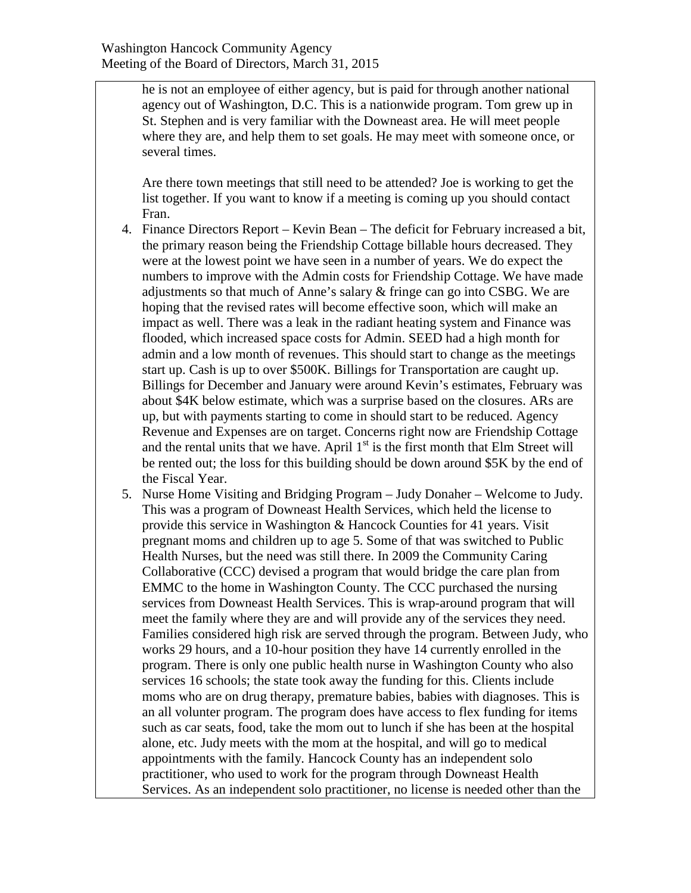he is not an employee of either agency, but is paid for through another national agency out of Washington, D.C. This is a nationwide program. Tom grew up in St. Stephen and is very familiar with the Downeast area. He will meet people where they are, and help them to set goals. He may meet with someone once, or several times.

Are there town meetings that still need to be attended? Joe is working to get the list together. If you want to know if a meeting is coming up you should contact Fran.

- 4. Finance Directors Report Kevin Bean The deficit for February increased a bit, the primary reason being the Friendship Cottage billable hours decreased. They were at the lowest point we have seen in a number of years. We do expect the numbers to improve with the Admin costs for Friendship Cottage. We have made adjustments so that much of Anne's salary & fringe can go into CSBG. We are hoping that the revised rates will become effective soon, which will make an impact as well. There was a leak in the radiant heating system and Finance was flooded, which increased space costs for Admin. SEED had a high month for admin and a low month of revenues. This should start to change as the meetings start up. Cash is up to over \$500K. Billings for Transportation are caught up. Billings for December and January were around Kevin's estimates, February was about \$4K below estimate, which was a surprise based on the closures. ARs are up, but with payments starting to come in should start to be reduced. Agency Revenue and Expenses are on target. Concerns right now are Friendship Cottage and the rental units that we have. April  $1<sup>st</sup>$  is the first month that Elm Street will be rented out; the loss for this building should be down around \$5K by the end of the Fiscal Year.
- 5. Nurse Home Visiting and Bridging Program Judy Donaher Welcome to Judy. This was a program of Downeast Health Services, which held the license to provide this service in Washington & Hancock Counties for 41 years. Visit pregnant moms and children up to age 5. Some of that was switched to Public Health Nurses, but the need was still there. In 2009 the Community Caring Collaborative (CCC) devised a program that would bridge the care plan from EMMC to the home in Washington County. The CCC purchased the nursing services from Downeast Health Services. This is wrap-around program that will meet the family where they are and will provide any of the services they need. Families considered high risk are served through the program. Between Judy, who works 29 hours, and a 10-hour position they have 14 currently enrolled in the program. There is only one public health nurse in Washington County who also services 16 schools; the state took away the funding for this. Clients include moms who are on drug therapy, premature babies, babies with diagnoses. This is an all volunter program. The program does have access to flex funding for items such as car seats, food, take the mom out to lunch if she has been at the hospital alone, etc. Judy meets with the mom at the hospital, and will go to medical appointments with the family. Hancock County has an independent solo practitioner, who used to work for the program through Downeast Health Services. As an independent solo practitioner, no license is needed other than the